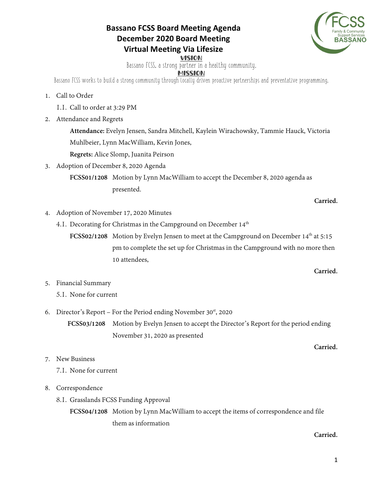## **Bassano FCSS Board Meeting Agenda December 2020 Board Meeting Virtual Meeting Via Lifesize**



VISION

Bassano FCSS, a strong partner in a healthy community.

**MISSION** 

Bassano FCSS works to build a strong community through locally driven proactive partnerships and preventative programming.

## 1. Call to Order

- 1.1. Call to order at 3:29 PM
- 2. Attendance and Regrets

**Attendance:** Evelyn Jensen, Sandra Mitchell, Kaylein Wirachowsky, Tammie Hauck, Victoria Muhlbeier, Lynn MacWilliam, Kevin Jones,

**Regrets:** Alice Slomp, Juanita Peirson

3. Adoption of December 8, 2020 Agenda

**FCSS01/1208** Motion by Lynn MacWilliam to accept the December 8, 2020 agenda as presented.

**Carried.** 

- 4. Adoption of November 17, 2020 Minutes
	- 4.1. Decorating for Christmas in the Campground on December  $14<sup>th</sup>$

**FCSS02/1208** Motion by Evelyn Jensen to meet at the Campground on December 14<sup>th</sup> at 5:15 pm to complete the set up for Christmas in the Campground with no more then 10 attendees,

## **Carried.**

**Carried.**

- 5. Financial Summary
	- 5.1. None for current
- 6. Director's Report For the Period ending November  $30<sup>st</sup>$ , 2020

**FCSS03/1208** Motion by Evelyn Jensen to accept the Director's Report for the period ending November 31, 2020 as presented

7. New Business

7.1. None for current

## 8. Correspondence

8.1. Grasslands FCSS Funding Approval

**FCSS04/1208** Motion by Lynn MacWilliam to accept the items of correspondence and file them as information

**Carried.**